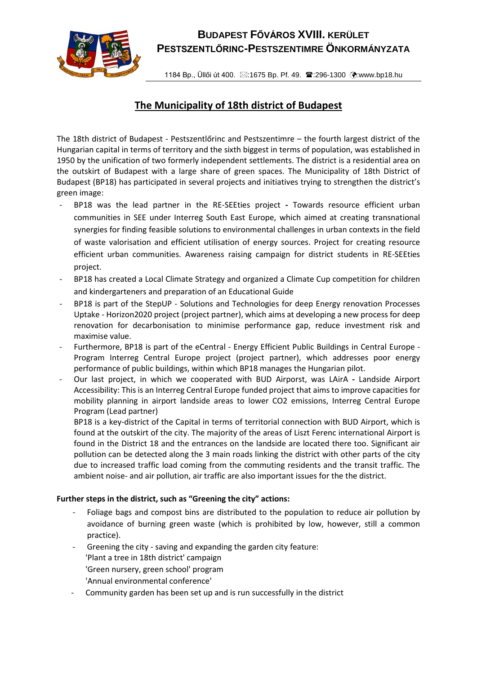

## **BUDAPEST FŐVÁROS XVIII. KERÜLET PESTSZENTLŐRINC-PESTSZENTIMRE ÖNKORMÁNYZATA**

1184 Bp., Üllői út 400. ⊠:1675 Bp. Pf. 49. <sup>•</sup>3:296-1300 (?:www.bp18.hu

## **The Municipality of 18th district of Budapest**

The 18th district of Budapest - Pestszentlőrinc and Pestszentimre – the fourth largest district of the Hungarian capital in terms of territory and the sixth biggest in terms of population, was established in 1950 by the unification of two formerly independent settlements. The district is a residential area on the outskirt of Budapest with a large share of green spaces. The Municipality of 18th District of Budapest (BP18) has participated in several projects and initiatives trying to strengthen the district's green image:

- BP18 was the lead partner in the RE-SEEties project **-** Towards resource efficient urban communities in SEE under Interreg South East Europe, which aimed at creating transnational synergies for finding feasible solutions to environmental challenges in urban contexts in the field of waste valorisation and efficient utilisation of energy sources. Project for creating resource efficient urban communities. Awareness raising campaign for district students in RE-SEEties project.
- BP18 has created a Local Climate Strategy and organized a Climate Cup competition for children and kindergarteners and preparation of an Educational Guide
- BP18 is part of the StepUP Solutions and Technologies for deep Energy renovation Processes Uptake - Horizon2020 project (project partner), which aims at developing a new process for deep renovation for decarbonisation to minimise performance gap, reduce investment risk and maximise value.
- Furthermore, BP18 is part of the eCentral Energy Efficient Public Buildings in Central Europe Program Interreg Central Europe project (project partner), which addresses poor energy performance of public buildings, within which BP18 manages the Hungarian pilot.
- Our last project, in which we cooperated with BUD Airporst, was LAirA **-** Landside Airport Accessibility: This is an Interreg Central Europe funded project that aims to improve capacities for mobility planning in airport landside areas to lower CO2 emissions, Interreg Central Europe Program (Lead partner)

BP18 is a key-district of the Capital in terms of territorial connection with BUD Airport, which is found at the outskirt of the city. The majority of the areas of Liszt Ferenc international Airport is found in the District 18 and the entrances on the landside are located there too. Significant air pollution can be detected along the 3 main roads linking the district with other parts of the city due to increased traffic load coming from the commuting residents and the transit traffic. The ambient noise- and air pollution, air traffic are also important issues for the the district.

## **Further steps in the district, such as "Greening the city" actions:**

- Foliage bags and compost bins are distributed to the population to reduce air pollution by avoidance of burning green waste (which is prohibited by low, however, still a common practice).
- Greening the city saving and expanding the garden city feature: 'Plant a tree in 18th district' campaign 'Green nursery, green school' program 'Annual environmental conference'
- Community garden has been set up and is run successfully in the district